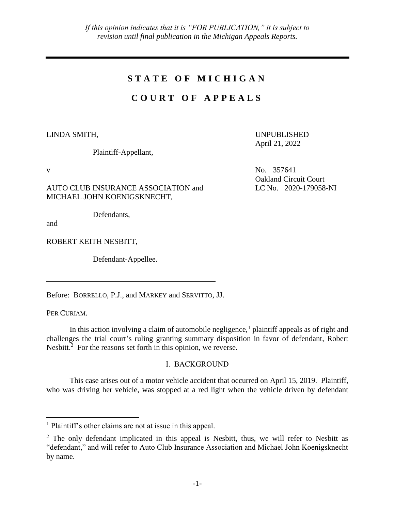## **S T A T E O F M I C H I G A N**

# **C O U R T O F A P P E A L S**

LINDA SMITH,

Plaintiff-Appellant,

AUTO CLUB INSURANCE ASSOCIATION and MICHAEL JOHN KOENIGSKNECHT,

Defendants,

and

ROBERT KEITH NESBITT,

Defendant-Appellee.

Before: BORRELLO, P.J., and MARKEY and SERVITTO, JJ.

PER CURIAM.

 $\overline{a}$ 

In this action involving a claim of automobile negligence,<sup>1</sup> plaintiff appeals as of right and challenges the trial court's ruling granting summary disposition in favor of defendant, Robert Nesbitt. $2$  For the reasons set forth in this opinion, we reverse.

### I. BACKGROUND

This case arises out of a motor vehicle accident that occurred on April 15, 2019. Plaintiff, who was driving her vehicle, was stopped at a red light when the vehicle driven by defendant

UNPUBLISHED April 21, 2022

v No. 357641 Oakland Circuit Court LC No. 2020-179058-NI

<sup>1</sup> Plaintiff's other claims are not at issue in this appeal.

 $2$  The only defendant implicated in this appeal is Nesbitt, thus, we will refer to Nesbitt as "defendant," and will refer to Auto Club Insurance Association and Michael John Koenigsknecht by name.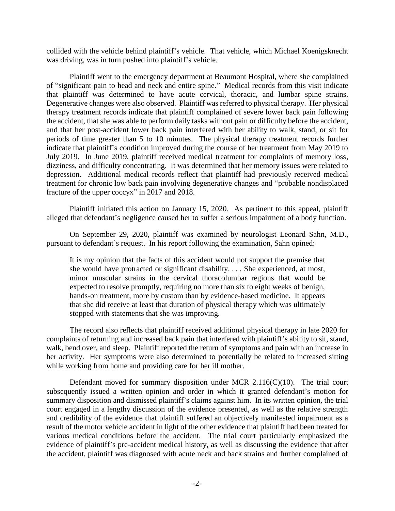collided with the vehicle behind plaintiff's vehicle. That vehicle, which Michael Koenigsknecht was driving, was in turn pushed into plaintiff's vehicle.

Plaintiff went to the emergency department at Beaumont Hospital, where she complained of "significant pain to head and neck and entire spine." Medical records from this visit indicate that plaintiff was determined to have acute cervical, thoracic, and lumbar spine strains. Degenerative changes were also observed. Plaintiff was referred to physical therapy. Her physical therapy treatment records indicate that plaintiff complained of severe lower back pain following the accident, that she was able to perform daily tasks without pain or difficulty before the accident, and that her post-accident lower back pain interfered with her ability to walk, stand, or sit for periods of time greater than 5 to 10 minutes. The physical therapy treatment records further indicate that plaintiff's condition improved during the course of her treatment from May 2019 to July 2019. In June 2019, plaintiff received medical treatment for complaints of memory loss, dizziness, and difficulty concentrating. It was determined that her memory issues were related to depression. Additional medical records reflect that plaintiff had previously received medical treatment for chronic low back pain involving degenerative changes and "probable nondisplaced fracture of the upper coccyx" in 2017 and 2018.

Plaintiff initiated this action on January 15, 2020. As pertinent to this appeal, plaintiff alleged that defendant's negligence caused her to suffer a serious impairment of a body function.

On September 29, 2020, plaintiff was examined by neurologist Leonard Sahn, M.D., pursuant to defendant's request. In his report following the examination, Sahn opined:

It is my opinion that the facts of this accident would not support the premise that she would have protracted or significant disability. . . . She experienced, at most, minor muscular strains in the cervical thoracolumbar regions that would be expected to resolve promptly, requiring no more than six to eight weeks of benign, hands-on treatment, more by custom than by evidence-based medicine. It appears that she did receive at least that duration of physical therapy which was ultimately stopped with statements that she was improving.

The record also reflects that plaintiff received additional physical therapy in late 2020 for complaints of returning and increased back pain that interfered with plaintiff's ability to sit, stand, walk, bend over, and sleep. Plaintiff reported the return of symptoms and pain with an increase in her activity. Her symptoms were also determined to potentially be related to increased sitting while working from home and providing care for her ill mother.

Defendant moved for summary disposition under MCR 2.116(C)(10). The trial court subsequently issued a written opinion and order in which it granted defendant's motion for summary disposition and dismissed plaintiff's claims against him. In its written opinion, the trial court engaged in a lengthy discussion of the evidence presented, as well as the relative strength and credibility of the evidence that plaintiff suffered an objectively manifested impairment as a result of the motor vehicle accident in light of the other evidence that plaintiff had been treated for various medical conditions before the accident. The trial court particularly emphasized the evidence of plaintiff's pre-accident medical history, as well as discussing the evidence that after the accident, plaintiff was diagnosed with acute neck and back strains and further complained of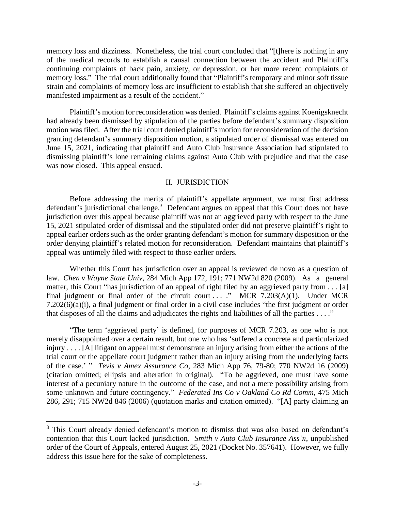memory loss and dizziness. Nonetheless, the trial court concluded that "[t]here is nothing in any of the medical records to establish a causal connection between the accident and Plaintiff's continuing complaints of back pain, anxiety, or depression, or her more recent complaints of memory loss." The trial court additionally found that "Plaintiff's temporary and minor soft tissue strain and complaints of memory loss are insufficient to establish that she suffered an objectively manifested impairment as a result of the accident."

Plaintiff's motion for reconsideration was denied. Plaintiff's claims against Koenigsknecht had already been dismissed by stipulation of the parties before defendant's summary disposition motion was filed. After the trial court denied plaintiff's motion for reconsideration of the decision granting defendant's summary disposition motion, a stipulated order of dismissal was entered on June 15, 2021, indicating that plaintiff and Auto Club Insurance Association had stipulated to dismissing plaintiff's lone remaining claims against Auto Club with prejudice and that the case was now closed. This appeal ensued.

#### II. JURISDICTION

Before addressing the merits of plaintiff's appellate argument, we must first address defendant's jurisdictional challenge.<sup>3</sup> Defendant argues on appeal that this Court does not have jurisdiction over this appeal because plaintiff was not an aggrieved party with respect to the June 15, 2021 stipulated order of dismissal and the stipulated order did not preserve plaintiff's right to appeal earlier orders such as the order granting defendant's motion for summary disposition or the order denying plaintiff's related motion for reconsideration. Defendant maintains that plaintiff's appeal was untimely filed with respect to those earlier orders.

Whether this Court has jurisdiction over an appeal is reviewed de novo as a question of law. *Chen v Wayne State Univ*, 284 Mich App 172, 191; 771 NW2d 820 (2009). As a general matter, this Court "has jurisdiction of an appeal of right filed by an aggrieved party from . . . [a] final judgment or final order of the circuit court ... ." MCR 7.203(A)(1). Under MCR 7.202(6)(a)(i), a final judgment or final order in a civil case includes "the first judgment or order that disposes of all the claims and adjudicates the rights and liabilities of all the parties  $\dots$ ."

"The term 'aggrieved party' is defined, for purposes of MCR 7.203, as one who is not merely disappointed over a certain result, but one who has 'suffered a concrete and particularized injury . . . . [A] litigant on appeal must demonstrate an injury arising from either the actions of the trial court or the appellate court judgment rather than an injury arising from the underlying facts of the case.' " *Tevis v Amex Assurance Co*, 283 Mich App 76, 79-80; 770 NW2d 16 (2009) (citation omitted; ellipsis and alteration in original). "To be aggrieved, one must have some interest of a pecuniary nature in the outcome of the case, and not a mere possibility arising from some unknown and future contingency." *Federated Ins Co v Oakland Co Rd Comm*, 475 Mich 286, 291; 715 NW2d 846 (2006) (quotation marks and citation omitted). "[A] party claiming an

 $\overline{a}$ 

<sup>&</sup>lt;sup>3</sup> This Court already denied defendant's motion to dismiss that was also based on defendant's contention that this Court lacked jurisdiction. *Smith v Auto Club Insurance Ass'n*, unpublished order of the Court of Appeals, entered August 25, 2021 (Docket No. 357641). However, we fully address this issue here for the sake of completeness.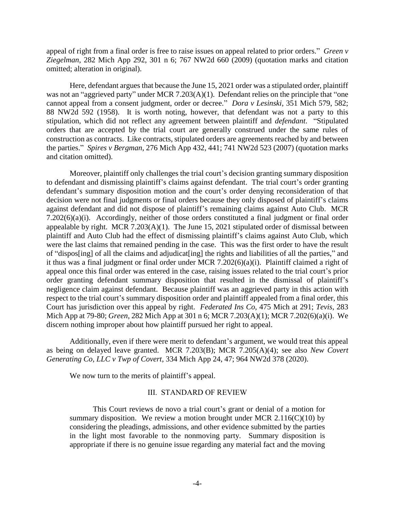appeal of right from a final order is free to raise issues on appeal related to prior orders." *Green v Ziegelman*, 282 Mich App 292, 301 n 6; 767 NW2d 660 (2009) (quotation marks and citation omitted; alteration in original).

Here, defendant argues that because the June 15, 2021 order was a stipulated order, plaintiff was not an "aggrieved party" under MCR 7.203(A)(1). Defendant relies on the principle that "one cannot appeal from a consent judgment, order or decree." *Dora v Lesinski*, 351 Mich 579, 582; 88 NW2d 592 (1958). It is worth noting, however, that defendant was not a party to this stipulation, which did not reflect any agreement between plaintiff and *defendant*. "Stipulated orders that are accepted by the trial court are generally construed under the same rules of construction as contracts. Like contracts, stipulated orders are agreements reached by and between the parties." *Spires v Bergman*, 276 Mich App 432, 441; 741 NW2d 523 (2007) (quotation marks and citation omitted).

Moreover, plaintiff only challenges the trial court's decision granting summary disposition to defendant and dismissing plaintiff's claims against defendant. The trial court's order granting defendant's summary disposition motion and the court's order denying reconsideration of that decision were not final judgments or final orders because they only disposed of plaintiff's claims against defendant and did not dispose of plaintiff's remaining claims against Auto Club. MCR 7.202(6)(a)(i). Accordingly, neither of those orders constituted a final judgment or final order appealable by right. MCR  $7.203(A)(1)$ . The June 15, 2021 stipulated order of dismissal between plaintiff and Auto Club had the effect of dismissing plaintiff's claims against Auto Club, which were the last claims that remained pending in the case. This was the first order to have the result of "dispos[ing] of all the claims and adjudicat[ing] the rights and liabilities of all the parties," and it thus was a final judgment or final order under MCR 7.202(6)(a)(i). Plaintiff claimed a right of appeal once this final order was entered in the case, raising issues related to the trial court's prior order granting defendant summary disposition that resulted in the dismissal of plaintiff's negligence claim against defendant. Because plaintiff was an aggrieved party in this action with respect to the trial court's summary disposition order and plaintiff appealed from a final order, this Court has jurisdiction over this appeal by right. *Federated Ins Co*, 475 Mich at 291; *Tevis*, 283 Mich App at 79-80; *Green*, 282 Mich App at 301 n 6; MCR 7.203(A)(1); MCR 7.202(6)(a)(i). We discern nothing improper about how plaintiff pursued her right to appeal.

Additionally, even if there were merit to defendant's argument, we would treat this appeal as being on delayed leave granted. MCR 7.203(B); MCR 7.205(A)(4); see also *New Covert Generating Co, LLC v Twp of Covert*, 334 Mich App 24, 47; 964 NW2d 378 (2020).

We now turn to the merits of plaintiff's appeal.

### III. STANDARD OF REVIEW

This Court reviews de novo a trial court's grant or denial of a motion for summary disposition. We review a motion brought under MCR 2.116(C)(10) by considering the pleadings, admissions, and other evidence submitted by the parties in the light most favorable to the nonmoving party. Summary disposition is appropriate if there is no genuine issue regarding any material fact and the moving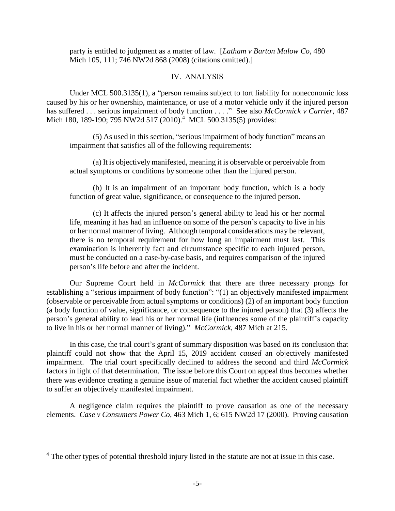party is entitled to judgment as a matter of law. [*Latham v Barton Malow Co*, 480 Mich 105, 111; 746 NW2d 868 (2008) (citations omitted).]

#### IV. ANALYSIS

Under MCL 500.3135(1), a "person remains subject to tort liability for noneconomic loss caused by his or her ownership, maintenance, or use of a motor vehicle only if the injured person has suffered . . . serious impairment of body function . . . ." See also *McCormick v Carrier*, 487 Mich 180, 189-190; 795 NW2d 517 (2010).<sup>4</sup> MCL 500.3135(5) provides:

(5) As used in this section, "serious impairment of body function" means an impairment that satisfies all of the following requirements:

(a) It is objectively manifested, meaning it is observable or perceivable from actual symptoms or conditions by someone other than the injured person.

(b) It is an impairment of an important body function, which is a body function of great value, significance, or consequence to the injured person.

(c) It affects the injured person's general ability to lead his or her normal life, meaning it has had an influence on some of the person's capacity to live in his or her normal manner of living. Although temporal considerations may be relevant, there is no temporal requirement for how long an impairment must last. This examination is inherently fact and circumstance specific to each injured person, must be conducted on a case-by-case basis, and requires comparison of the injured person's life before and after the incident.

Our Supreme Court held in *McCormick* that there are three necessary prongs for establishing a "serious impairment of body function": "(1) an objectively manifested impairment (observable or perceivable from actual symptoms or conditions) (2) of an important body function (a body function of value, significance, or consequence to the injured person) that (3) affects the person's general ability to lead his or her normal life (influences some of the plaintiff's capacity to live in his or her normal manner of living)." *McCormick*, 487 Mich at 215.

In this case, the trial court's grant of summary disposition was based on its conclusion that plaintiff could not show that the April 15, 2019 accident *caused* an objectively manifested impairment. The trial court specifically declined to address the second and third *McCormick* factors in light of that determination. The issue before this Court on appeal thus becomes whether there was evidence creating a genuine issue of material fact whether the accident caused plaintiff to suffer an objectively manifested impairment.

A negligence claim requires the plaintiff to prove causation as one of the necessary elements. *Case v Consumers Power Co*, 463 Mich 1, 6; 615 NW2d 17 (2000). Proving causation

 $\overline{a}$ 

 $4$  The other types of potential threshold injury listed in the statute are not at issue in this case.